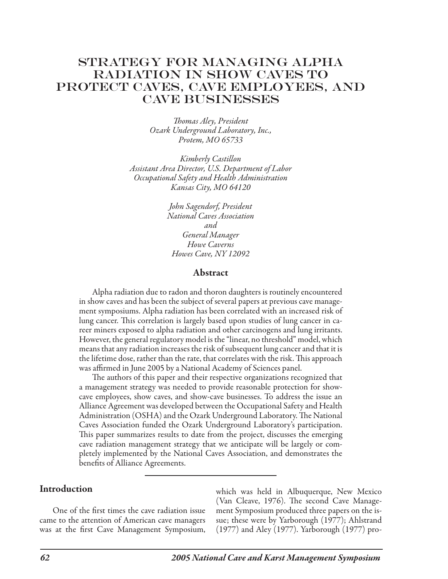# Strategy FOR MANAGING ALPHA RADIATION IN SHOW CAVES TO PROTECT CAVES, CAVE EMPLOYEES, AND CAVE BUSINESSES

*Thomas Aley, President Ozark Underground Laboratory, Inc., Protem, MO 65733*

*Kimberly Castillon Assistant Area Director, U.S. Department of Labor Occupational Safety and Health Administration Kansas City, MO 64120*

> *John Sagendorf, President National Caves Association and General Manager Howe Caverns Howes Cave, NY 12092*

#### Abstract

Alpha radiation due to radon and thoron daughters is routinely encountered in show caves and has been the subject of several papers at previous cave management symposiums. Alpha radiation has been correlated with an increased risk of lung cancer. This correlation is largely based upon studies of lung cancer in career miners exposed to alpha radiation and other carcinogens and lung irritants. However, the general regulatory model is the "linear, no threshold" model, which means that any radiation increases the risk of subsequent lung cancer and that it is the lifetime dose, rather than the rate, that correlates with the risk. This approach was affirmed in June 2005 by a National Academy of Sciences panel.

The authors of this paper and their respective organizations recognized that a management strategy was needed to provide reasonable protection for showcave employees, show caves, and show-cave businesses. To address the issue an Alliance Agreement was developed between the Occupational Safety and Health Administration (OSHA) and the Ozark Underground Laboratory. The National Caves Association funded the Ozark Underground Laboratory's participation. This paper summarizes results to date from the project, discusses the emerging cave radiation management strategy that we anticipate will be largely or completely implemented by the National Caves Association, and demonstrates the benefits of Alliance Agreements.

#### **Introduction**

One of the first times the cave radiation issue came to the attention of American cave managers was at the first Cave Management Symposium, which was held in Albuquerque, New Mexico (Van Cleave, 1976). The second Cave Management Symposium produced three papers on the issue; these were by Yarborough (1977); Ahlstrand (1977) and Aley (1977). Yarborough (1977) pro-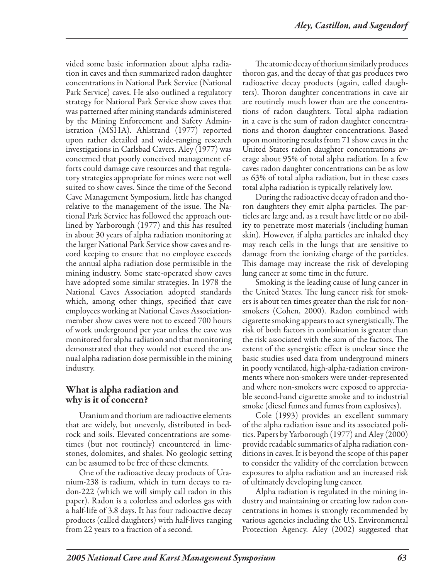vided some basic information about alpha radiation in caves and then summarized radon daughter concentrations in National Park Service (National Park Service) caves. He also outlined a regulatory strategy for National Park Service show caves that was patterned after mining standards administered by the Mining Enforcement and Safety Administration (MSHA). Ahlstrand (1977) reported upon rather detailed and wide-ranging research investigations in Carlsbad Cavers. Aley (1977) was concerned that poorly conceived management efforts could damage cave resources and that regulatory strategies appropriate for mines were not well suited to show caves. Since the time of the Second Cave Management Symposium, little has changed relative to the management of the issue. The National Park Service has followed the approach outlined by Yarborough (1977) and this has resulted in about 30 years of alpha radiation monitoring at the larger National Park Service show caves and record keeping to ensure that no employee exceeds the annual alpha radiation dose permissible in the mining industry. Some state-operated show caves have adopted some similar strategies. In 1978 the National Caves Association adopted standards which, among other things, specified that cave employees working at National Caves Associationmember show caves were not to exceed 700 hours of work underground per year unless the cave was monitored for alpha radiation and that monitoring demonstrated that they would not exceed the annual alpha radiation dose permissible in the mining industry.

## What is alpha radiation and why is it of concern?

Uranium and thorium are radioactive elements that are widely, but unevenly, distributed in bedrock and soils. Elevated concentrations are sometimes (but not routinely) encountered in limestones, dolomites, and shales. No geologic setting can be assumed to be free of these elements.

One of the radioactive decay products of Uranium-238 is radium, which in turn decays to radon-222 (which we will simply call radon in this paper). Radon is a colorless and odorless gas with a half-life of 3.8 days. It has four radioactive decay products (called daughters) with half-lives ranging from 22 years to a fraction of a second.

The atomic decay of thorium similarly produces thoron gas, and the decay of that gas produces two radioactive decay products (again, called daughters). Thoron daughter concentrations in cave air are routinely much lower than are the concentrations of radon daughters. Total alpha radiation in a cave is the sum of radon daughter concentrations and thoron daughter concentrations. Based upon monitoring results from 71 show caves in the United States radon daughter concentrations average about 95% of total alpha radiation. In a few caves radon daughter concentrations can be as low as 63% of total alpha radiation, but in these cases total alpha radiation is typically relatively low.

During the radioactive decay of radon and thoron daughters they emit alpha particles. The particles are large and, as a result have little or no ability to penetrate most materials (including human skin). However, if alpha particles are inhaled they may reach cells in the lungs that are sensitive to damage from the ionizing charge of the particles. This damage may increase the risk of developing lung cancer at some time in the future.

Smoking is the leading cause of lung cancer in the United States. The lung cancer risk for smokers is about ten times greater than the risk for nonsmokers (Cohen, 2000). Radon combined with cigarette smoking appears to act synergistically. The risk of both factors in combination is greater than the risk associated with the sum of the factors. The extent of the synergistic effect is unclear since the basic studies used data from underground miners in poorly ventilated, high-alpha-radiation environments where non-smokers were under-represented and where non-smokers were exposed to appreciable second-hand cigarette smoke and to industrial smoke (diesel fumes and fumes from explosives).

Cole (1993) provides an excellent summary of the alpha radiation issue and its associated politics. Papers by Yarborough (1977) and Aley (2000) provide readable summaries of alpha radiation conditions in caves. It is beyond the scope of this paper to consider the validity of the correlation between exposures to alpha radiation and an increased risk of ultimately developing lung cancer.

Alpha radiation is regulated in the mining industry and maintaining or creating low radon concentrations in homes is strongly recommended by various agencies including the U.S. Environmental Protection Agency. Aley (2002) suggested that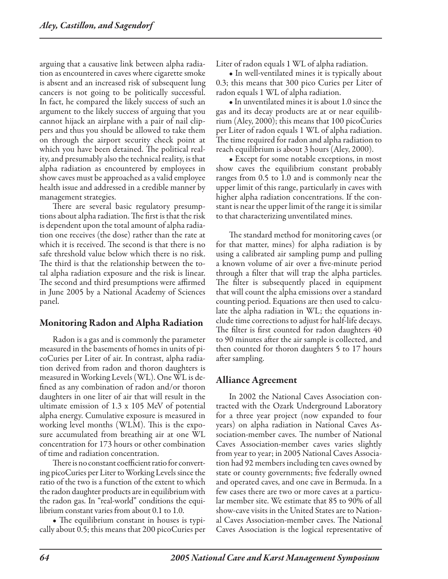arguing that a causative link between alpha radiation as encountered in caves where cigarette smoke is absent and an increased risk of subsequent lung cancers is not going to be politically successful. In fact, he compared the likely success of such an argument to the likely success of arguing that you cannot hijack an airplane with a pair of nail clippers and thus you should be allowed to take them on through the airport security check point at which you have been detained. The political reality, and presumably also the technical reality, is that alpha radiation as encountered by employees in show caves must be approached as a valid employee health issue and addressed in a credible manner by management strategies.

There are several basic regulatory presumptions about alpha radiation. The first is that the risk is dependent upon the total amount of alpha radiation one receives (the dose) rather than the rate at which it is received. The second is that there is no safe threshold value below which there is no risk. The third is that the relationship between the total alpha radiation exposure and the risk is linear. The second and third presumptions were affirmed in June 2005 by a National Academy of Sciences panel.

## Monitoring Radon and Alpha Radiation

Radon is a gas and is commonly the parameter measured in the basements of homes in units of picoCuries per Liter of air. In contrast, alpha radiation derived from radon and thoron daughters is measured in Working Levels (WL). One WL is defined as any combination of radon and/or thoron daughters in one liter of air that will result in the ultimate emission of 1.3 x 105 MeV of potential alpha energy. Cumulative exposure is measured in working level months (WLM). This is the exposure accumulated from breathing air at one WL concentration for 173 hours or other combination of time and radiation concentration.

There is no constant coefficient ratio for converting picoCuries per Liter to Working Levels since the ratio of the two is a function of the extent to which the radon daughter products are in equilibrium with the radon gas. In "real-world" conditions the equilibrium constant varies from about 0.1 to 1.0.

• The equilibrium constant in houses is typically about 0.5; this means that 200 picoCuries per

Liter of radon equals 1 WL of alpha radiation.

• In well-ventilated mines it is typically about 0.3; this means that 300 pico Curies per Liter of radon equals 1 WL of alpha radiation.

• In unventilated mines it is about 1.0 since the gas and its decay products are at or near equilibrium (Aley, 2000); this means that 100 picoCuries per Liter of radon equals 1 WL of alpha radiation. The time required for radon and alpha radiation to reach equilibrium is about 3 hours (Aley, 2000).

• Except for some notable exceptions, in most show caves the equilibrium constant probably ranges from 0.5 to 1.0 and is commonly near the upper limit of this range, particularly in caves with higher alpha radiation concentrations. If the constant is near the upper limit of the range it is similar to that characterizing unventilated mines.

The standard method for monitoring caves (or for that matter, mines) for alpha radiation is by using a calibrated air sampling pump and pulling a known volume of air over a five-minute period through a filter that will trap the alpha particles. The filter is subsequently placed in equipment that will count the alpha emissions over a standard counting period. Equations are then used to calculate the alpha radiation in WL; the equations include time corrections to adjust for half-life decays. The filter is first counted for radon daughters 40 to 90 minutes after the air sample is collected, and then counted for thoron daughters 5 to 17 hours after sampling.

## Alliance Agreement

In 2002 the National Caves Association contracted with the Ozark Underground Laboratory for a three year project (now expanded to four years) on alpha radiation in National Caves Association-member caves. The number of National Caves Association-member caves varies slightly from year to year; in 2005 National Caves Association had 92 members including ten caves owned by state or county governments; five federally owned and operated caves, and one cave in Bermuda. In a few cases there are two or more caves at a particular member site. We estimate that 85 to 90% of all show-cave visits in the United States are to National Caves Association-member caves. The National Caves Association is the logical representative of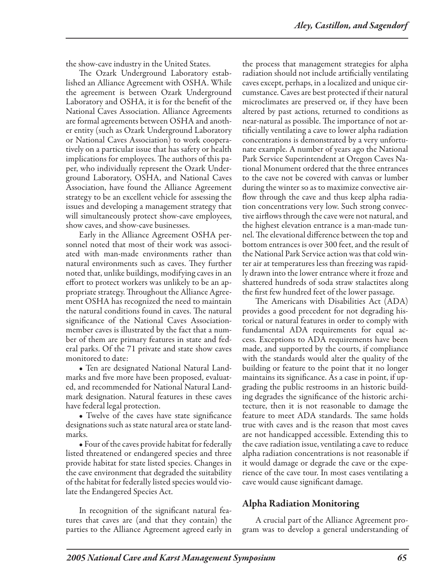the show-cave industry in the United States.

The Ozark Underground Laboratory established an Alliance Agreement with OSHA. While the agreement is between Ozark Underground Laboratory and OSHA, it is for the benefit of the National Caves Association. Alliance Agreements are formal agreements between OSHA and another entity (such as Ozark Underground Laboratory or National Caves Association) to work cooperatively on a particular issue that has safety or health implications for employees. The authors of this paper, who individually represent the Ozark Underground Laboratory, OSHA, and National Caves Association, have found the Alliance Agreement strategy to be an excellent vehicle for assessing the issues and developing a management strategy that will simultaneously protect show-cave employees, show caves, and show-cave businesses.

Early in the Alliance Agreement OSHA personnel noted that most of their work was associated with man-made environments rather than natural environments such as caves. They further noted that, unlike buildings, modifying caves in an effort to protect workers was unlikely to be an appropriate strategy. Throughout the Alliance Agreement OSHA has recognized the need to maintain the natural conditions found in caves. The natural significance of the National Caves Associationmember caves is illustrated by the fact that a number of them are primary features in state and federal parks. Of the 71 private and state show caves monitored to date:

• Ten are designated National Natural Landmarks and five more have been proposed, evaluated, and recommended for National Natural Landmark designation. Natural features in these caves have federal legal protection.

• Twelve of the caves have state significance designations such as state natural area or state landmarks.

• Four of the caves provide habitat for federally listed threatened or endangered species and three provide habitat for state listed species. Changes in the cave environment that degraded the suitability of the habitat for federally listed species would violate the Endangered Species Act.

In recognition of the significant natural features that caves are (and that they contain) the parties to the Alliance Agreement agreed early in the process that management strategies for alpha radiation should not include artificially ventilating caves except, perhaps, in a localized and unique circumstance. Caves are best protected if their natural microclimates are preserved or, if they have been altered by past actions, returned to conditions as near-natural as possible. The importance of not artificially ventilating a cave to lower alpha radiation concentrations is demonstrated by a very unfortunate example. A number of years ago the National Park Service Superintendent at Oregon Caves National Monument ordered that the three entrances to the cave not be covered with canvas or lumber during the winter so as to maximize convective airflow through the cave and thus keep alpha radiation concentrations very low. Such strong convective airflows through the cave were not natural, and the highest elevation entrance is a man-made tunnel. The elevational difference between the top and bottom entrances is over 300 feet, and the result of the National Park Service action was that cold winter air at temperatures less than freezing was rapidly drawn into the lower entrance where it froze and shattered hundreds of soda straw stalactites along the first few hundred feet of the lower passage.

The Americans with Disabilities Act (ADA) provides a good precedent for not degrading historical or natural features in order to comply with fundamental ADA requirements for equal access. Exceptions to ADA requirements have been made, and supported by the courts, if compliance with the standards would alter the quality of the building or feature to the point that it no longer maintains its significance. As a case in point, if upgrading the public restrooms in an historic building degrades the significance of the historic architecture, then it is not reasonable to damage the feature to meet ADA standards. The same holds true with caves and is the reason that most caves are not handicapped accessible. Extending this to the cave radiation issue, ventilating a cave to reduce alpha radiation concentrations is not reasonable if it would damage or degrade the cave or the experience of the cave tour. In most cases ventilating a cave would cause significant damage.

## Alpha Radiation Monitoring

A crucial part of the Alliance Agreement program was to develop a general understanding of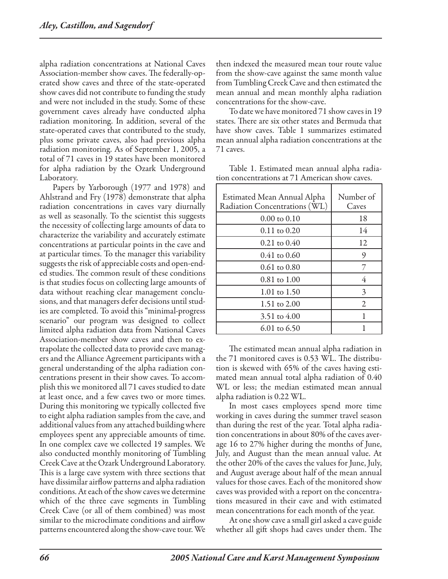alpha radiation concentrations at National Caves Association-member show caves. The federally-operated show caves and three of the state-operated show caves did not contribute to funding the study and were not included in the study. Some of these government caves already have conducted alpha radiation monitoring. In addition, several of the state-operated caves that contributed to the study, plus some private caves, also had previous alpha radiation monitoring. As of September 1, 2005, a total of 71 caves in 19 states have been monitored for alpha radiation by the Ozark Underground Laboratory.

Papers by Yarborough (1977 and 1978) and Ahlstrand and Fry (1978) demonstrate that alpha radiation concentrations in caves vary diurnally as well as seasonally. To the scientist this suggests the necessity of collecting large amounts of data to characterize the variability and accurately estimate concentrations at particular points in the cave and at particular times. To the manager this variability suggests the risk of appreciable costs and open-ended studies. The common result of these conditions is that studies focus on collecting large amounts of data without reaching clear management conclusions, and that managers defer decisions until studies are completed. To avoid this "minimal-progress scenario" our program was designed to collect limited alpha radiation data from National Caves Association-member show caves and then to extrapolate the collected data to provide cave managers and the Alliance Agreement participants with a general understanding of the alpha radiation concentrations present in their show caves. To accomplish this we monitored all 71 caves studied to date at least once, and a few caves two or more times. During this monitoring we typically collected five to eight alpha radiation samples from the cave, and additional values from any attached building where employees spent any appreciable amounts of time. In one complex cave we collected 19 samples. We also conducted monthly monitoring of Tumbling Creek Cave at the Ozark Underground Laboratory. This is a large cave system with three sections that have dissimilar airflow patterns and alpha radiation conditions. At each of the show caves we determine which of the three cave segments in Tumbling Creek Cave (or all of them combined) was most similar to the microclimate conditions and airflow patterns encountered along the show-cave tour. We

then indexed the measured mean tour route value from the show-cave against the same month value from Tumbling Creek Cave and then estimated the mean annual and mean monthly alpha radiation concentrations for the show-cave.

To date we have monitored 71 show caves in 19 states. There are six other states and Bermuda that have show caves. Table 1 summarizes estimated mean annual alpha radiation concentrations at the 71 caves.

Table 1. Estimated mean annual alpha radiation concentrations at 71 American show caves.

| Estimated Mean Annual Alpha<br>Radiation Concentrations (WL) | Number of<br>Caves |
|--------------------------------------------------------------|--------------------|
| $0.00 \text{ to } 0.10$                                      | 18                 |
| $0.11$ to $0.20$                                             | 14                 |
| $0.21$ to $0.40$                                             | 12                 |
| $0.41$ to $0.60$                                             | 9                  |
| $0.61 \text{ to } 0.80$                                      | 7                  |
| $0.81 \text{ to } 1.00$                                      | 4                  |
| 1.01 to 1.50                                                 | 3                  |
| 1.51 to 2.00                                                 | 2                  |
| 3.51 to 4.00                                                 |                    |
| $6.01$ to $6.50$                                             |                    |

The estimated mean annual alpha radiation in the 71 monitored caves is 0.53 WL. The distribution is skewed with 65% of the caves having estimated mean annual total alpha radiation of 0.40 WL or less; the median estimated mean annual alpha radiation is 0.22 WL.

In most cases employees spend more time working in caves during the summer travel season than during the rest of the year. Total alpha radiation concentrations in about 80% of the caves average 16 to 27% higher during the months of June, July, and August than the mean annual value. At the other 20% of the caves the values for June, July, and August average about half of the mean annual values for those caves. Each of the monitored show caves was provided with a report on the concentrations measured in their cave and with estimated mean concentrations for each month of the year.

At one show cave a small girl asked a cave guide whether all gift shops had caves under them. The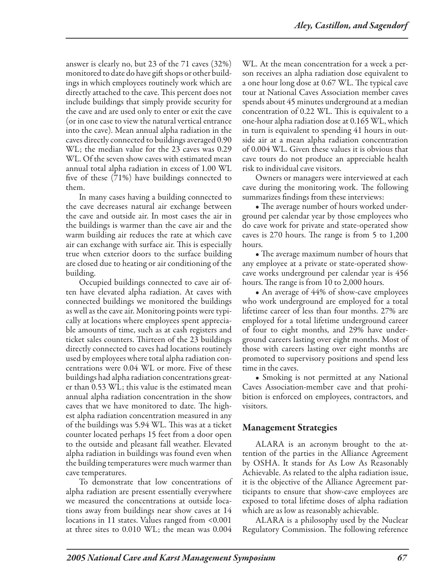answer is clearly no, but 23 of the 71 caves (32%) monitored to date do have gift shops or other buildings in which employees routinely work which are directly attached to the cave. This percent does not include buildings that simply provide security for the cave and are used only to enter or exit the cave (or in one case to view the natural vertical entrance into the cave). Mean annual alpha radiation in the caves directly connected to buildings averaged 0.90 WL; the median value for the 23 caves was 0.29 WL. Of the seven show caves with estimated mean annual total alpha radiation in excess of 1.00 WL five of these (71%) have buildings connected to them.

In many cases having a building connected to the cave decreases natural air exchange between the cave and outside air. In most cases the air in the buildings is warmer than the cave air and the warm building air reduces the rate at which cave air can exchange with surface air. This is especially true when exterior doors to the surface building are closed due to heating or air conditioning of the building.

Occupied buildings connected to cave air often have elevated alpha radiation. At caves with connected buildings we monitored the buildings as well as the cave air. Monitoring points were typically at locations where employees spent appreciable amounts of time, such as at cash registers and ticket sales counters. Thirteen of the 23 buildings directly connected to caves had locations routinely used by employees where total alpha radiation concentrations were 0.04 WL or more. Five of these buildings had alpha radiation concentrations greater than 0.53 WL; this value is the estimated mean annual alpha radiation concentration in the show caves that we have monitored to date. The highest alpha radiation concentration measured in any of the buildings was 5.94 WL. This was at a ticket counter located perhaps 15 feet from a door open to the outside and pleasant fall weather. Elevated alpha radiation in buildings was found even when the building temperatures were much warmer than cave temperatures.

To demonstrate that low concentrations of alpha radiation are present essentially everywhere we measured the concentrations at outside locations away from buildings near show caves at 14 locations in 11 states. Values ranged from <0.001 at three sites to 0.010 WL; the mean was 0.004

WL. At the mean concentration for a week a person receives an alpha radiation dose equivalent to a one hour long dose at 0.67 WL. The typical cave tour at National Caves Association member caves spends about 45 minutes underground at a median concentration of 0.22 WL. This is equivalent to a one-hour alpha radiation dose at 0.165 WL, which in turn is equivalent to spending 41 hours in outside air at a mean alpha radiation concentration of 0.004 WL. Given these values it is obvious that cave tours do not produce an appreciable health risk to individual cave visitors.

Owners or managers were interviewed at each cave during the monitoring work. The following summarizes findings from these interviews:

• The average number of hours worked underground per calendar year by those employees who do cave work for private and state-operated show caves is 270 hours. The range is from 5 to 1,200 hours.

• The average maximum number of hours that any employee at a private or state-operated showcave works underground per calendar year is 456 hours. The range is from 10 to 2,000 hours.

• An average of 44% of show-cave employees who work underground are employed for a total lifetime career of less than four months. 27% are employed for a total lifetime underground career of four to eight months, and 29% have underground careers lasting over eight months. Most of those with careers lasting over eight months are promoted to supervisory positions and spend less time in the caves.

• Smoking is not permitted at any National Caves Association-member cave and that prohibition is enforced on employees, contractors, and visitors.

## Management Strategies

ALARA is an acronym brought to the attention of the parties in the Alliance Agreement by OSHA. It stands for As Low As Reasonably Achievable. As related to the alpha radiation issue, it is the objective of the Alliance Agreement participants to ensure that show-cave employees are exposed to total lifetime doses of alpha radiation which are as low as reasonably achievable.

ALARA is a philosophy used by the Nuclear Regulatory Commission. The following reference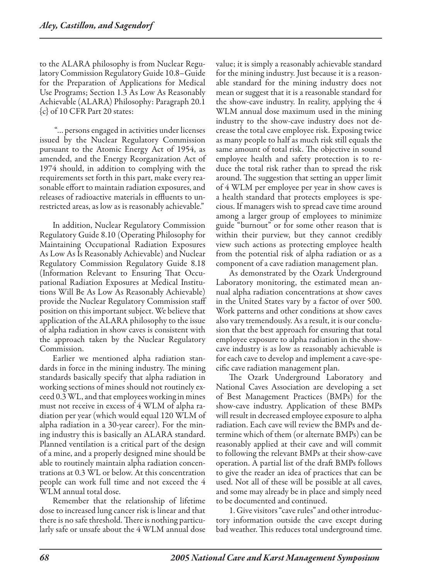to the ALARA philosophy is from Nuclear Regulatory Commission Regulatory Guide 10.8–Guide for the Preparation of Applications for Medical Use Programs; Section 1.3 As Low As Reasonably Achievable (ALARA) Philosophy: Paragraph 20.1 {c} of 10 CFR Part 20 states:

 "…persons engaged in activities under licenses issued by the Nuclear Regulatory Commission pursuant to the Atomic Energy Act of 1954, as amended, and the Energy Reorganization Act of 1974 should, in addition to complying with the requirements set forth in this part, make every reasonable effort to maintain radiation exposures, and releases of radioactive materials in effluents to unrestricted areas, as low as is reasonably achievable."

In addition, Nuclear Regulatory Commission Regulatory Guide 8.10 (Operating Philosophy for Maintaining Occupational Radiation Exposures As Low As Is Reasonably Achievable) and Nuclear Regulatory Commission Regulatory Guide 8.18 (Information Relevant to Ensuring That Occupational Radiation Exposures at Medical Institutions Will Be As Low As Reasonably Achievable) provide the Nuclear Regulatory Commission staff position on this important subject. We believe that application of the ALARA philosophy to the issue of alpha radiation in show caves is consistent with the approach taken by the Nuclear Regulatory Commission.

Earlier we mentioned alpha radiation standards in force in the mining industry. The mining standards basically specify that alpha radiation in working sections of mines should not routinely exceed 0.3 WL, and that employees working in mines must not receive in excess of 4 WLM of alpha radiation per year (which would equal 120 WLM of alpha radiation in a 30-year career). For the mining industry this is basically an ALARA standard. Planned ventilation is a critical part of the design of a mine, and a properly designed mine should be able to routinely maintain alpha radiation concentrations at 0.3 WL or below. At this concentration people can work full time and not exceed the 4 WLM annual total dose.

Remember that the relationship of lifetime dose to increased lung cancer risk is linear and that there is no safe threshold. There is nothing particularly safe or unsafe about the 4 WLM annual dose

value; it is simply a reasonably achievable standard for the mining industry. Just because it is a reasonable standard for the mining industry does not mean or suggest that it is a reasonable standard for the show-cave industry. In reality, applying the 4 WLM annual dose maximum used in the mining industry to the show-cave industry does not decrease the total cave employee risk. Exposing twice as many people to half as much risk still equals the same amount of total risk. The objective in sound employee health and safety protection is to reduce the total risk rather than to spread the risk around. The suggestion that setting an upper limit of 4 WLM per employee per year in show caves is a health standard that protects employees is specious. If managers wish to spread cave time around among a larger group of employees to minimize guide "burnout" or for some other reason that is within their purview, but they cannot credibly view such actions as protecting employee health from the potential risk of alpha radiation or as a component of a cave radiation management plan.

As demonstrated by the Ozark Underground Laboratory monitoring, the estimated mean annual alpha radiation concentrations at show caves in the United States vary by a factor of over 500. Work patterns and other conditions at show caves also vary tremendously. As a result, it is our conclusion that the best approach for ensuring that total employee exposure to alpha radiation in the showcave industry is as low as reasonably achievable is for each cave to develop and implement a cave-specific cave radiation management plan.

The Ozark Underground Laboratory and National Caves Association are developing a set of Best Management Practices (BMPs) for the show-cave industry. Application of these BMPs will result in decreased employee exposure to alpha radiation. Each cave will review the BMPs and determine which of them (or alternate BMPs) can be reasonably applied at their cave and will commit to following the relevant BMPs at their show-cave operation. A partial list of the draft BMPs follows to give the reader an idea of practices that can be used. Not all of these will be possible at all caves, and some may already be in place and simply need to be documented and continued.

1. Give visitors "cave rules" and other introductory information outside the cave except during bad weather. This reduces total underground time.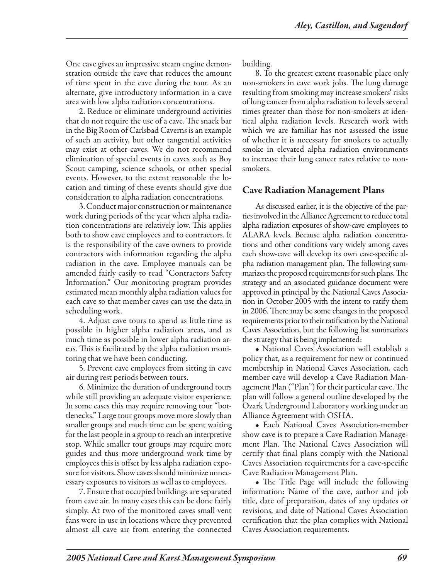One cave gives an impressive steam engine demonstration outside the cave that reduces the amount of time spent in the cave during the tour. As an alternate, give introductory information in a cave area with low alpha radiation concentrations.

2. Reduce or eliminate underground activities that do not require the use of a cave. The snack bar in the Big Room of Carlsbad Caverns is an example of such an activity, but other tangential activities may exist at other caves. We do not recommend elimination of special events in caves such as Boy Scout camping, science schools, or other special events. However, to the extent reasonable the location and timing of these events should give due consideration to alpha radiation concentrations.

3. Conduct major construction or maintenance work during periods of the year when alpha radiation concentrations are relatively low. This applies both to show cave employees and to contractors. It is the responsibility of the cave owners to provide contractors with information regarding the alpha radiation in the cave. Employee manuals can be amended fairly easily to read "Contractors Safety Information." Our monitoring program provides estimated mean monthly alpha radiation values for each cave so that member caves can use the data in scheduling work.

4. Adjust cave tours to spend as little time as possible in higher alpha radiation areas, and as much time as possible in lower alpha radiation areas. This is facilitated by the alpha radiation monitoring that we have been conducting.

5. Prevent cave employees from sitting in cave air during rest periods between tours.

6. Minimize the duration of underground tours while still providing an adequate visitor experience. In some cases this may require removing tour "bottlenecks." Large tour groups move more slowly than smaller groups and much time can be spent waiting for the last people in a group to reach an interpretive stop. While smaller tour groups may require more guides and thus more underground work time by employees this is offset by less alpha radiation exposure for visitors. Show caves should minimize unnecessary exposures to visitors as well as to employees.

7. Ensure that occupied buildings are separated from cave air. In many cases this can be done fairly simply. At two of the monitored caves small vent fans were in use in locations where they prevented almost all cave air from entering the connected building.

8. To the greatest extent reasonable place only non-smokers in cave work jobs. The lung damage resulting from smoking may increase smokers' risks of lung cancer from alpha radiation to levels several times greater than those for non-smokers at identical alpha radiation levels. Research work with which we are familiar has not assessed the issue of whether it is necessary for smokers to actually smoke in elevated alpha radiation environments to increase their lung cancer rates relative to nonsmokers.

## Cave Radiation Management Plans

As discussed earlier, it is the objective of the parties involved in the Alliance Agreement to reduce total alpha radiation exposures of show-cave employees to ALARA levels. Because alpha radiation concentrations and other conditions vary widely among caves each show-cave will develop its own cave-specific alpha radiation management plan. The following summarizes the proposed requirements for such plans. The strategy and an associated guidance document were approved in principal by the National Caves Association in October 2005 with the intent to ratify them in 2006. There may be some changes in the proposed requirements prior to their ratification by the National Caves Association, but the following list summarizes the strategy that is being implemented:

• National Caves Association will establish a policy that, as a requirement for new or continued membership in National Caves Association, each member cave will develop a Cave Radiation Management Plan ("Plan") for their particular cave. The plan will follow a general outline developed by the Ozark Underground Laboratory working under an Alliance Agreement with OSHA.

• Each National Caves Association-member show cave is to prepare a Cave Radiation Management Plan. The National Caves Association will certify that final plans comply with the National Caves Association requirements for a cave-specific Cave Radiation Management Plan.

• The Title Page will include the following information: Name of the cave, author and job title, date of preparation, dates of any updates or revisions, and date of National Caves Association certification that the plan complies with National Caves Association requirements.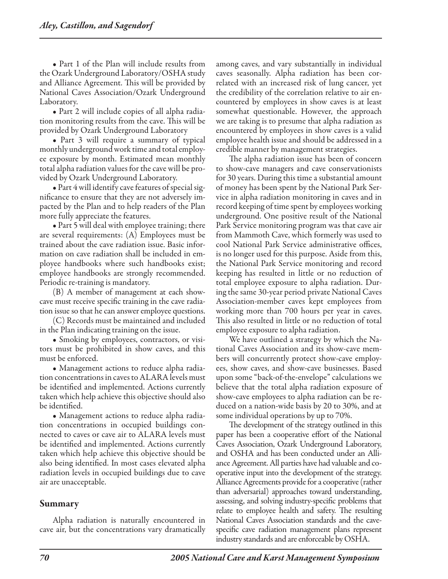• Part 1 of the Plan will include results from the Ozark Underground Laboratory/OSHA study and Alliance Agreement. This will be provided by National Caves Association/Ozark Underground Laboratory.

• Part 2 will include copies of all alpha radiation monitoring results from the cave. This will be provided by Ozark Underground Laboratory

• Part 3 will require a summary of typical monthly underground work time and total employee exposure by month. Estimated mean monthly total alpha radiation values for the cave will be provided by Ozark Underground Laboratory.

• Part 4 will identify cave features of special significance to ensure that they are not adversely impacted by the Plan and to help readers of the Plan more fully appreciate the features.

• Part 5 will deal with employee training; there are several requirements: (A) Employees must be trained about the cave radiation issue. Basic information on cave radiation shall be included in employee handbooks where such handbooks exist; employee handbooks are strongly recommended. Periodic re-training is mandatory.

(B) A member of management at each showcave must receive specific training in the cave radiation issue so that he can answer employee questions.

(C) Records must be maintained and included in the Plan indicating training on the issue.

• Smoking by employees, contractors, or visitors must be prohibited in show caves, and this must be enforced.

• Management actions to reduce alpha radiation concentrations in caves to ALARA levels must be identified and implemented. Actions currently taken which help achieve this objective should also be identified.

• Management actions to reduce alpha radiation concentrations in occupied buildings connected to caves or cave air to ALARA levels must be identified and implemented. Actions currently taken which help achieve this objective should be also being identified. In most cases elevated alpha radiation levels in occupied buildings due to cave air are unacceptable.

## Summary

Alpha radiation is naturally encountered in cave air, but the concentrations vary dramatically among caves, and vary substantially in individual caves seasonally. Alpha radiation has been correlated with an increased risk of lung cancer, yet the credibility of the correlation relative to air encountered by employees in show caves is at least somewhat questionable. However, the approach we are taking is to presume that alpha radiation as encountered by employees in show caves is a valid employee health issue and should be addressed in a credible manner by management strategies.

The alpha radiation issue has been of concern to show-cave managers and cave conservationists for 30 years. During this time a substantial amount of money has been spent by the National Park Service in alpha radiation monitoring in caves and in record keeping of time spent by employees working underground. One positive result of the National Park Service monitoring program was that cave air from Mammoth Cave, which formerly was used to cool National Park Service administrative offices, is no longer used for this purpose. Aside from this, the National Park Service monitoring and record keeping has resulted in little or no reduction of total employee exposure to alpha radiation. During the same 30-year period private National Caves Association-member caves kept employees from working more than 700 hours per year in caves. This also resulted in little or no reduction of total employee exposure to alpha radiation.

We have outlined a strategy by which the National Caves Association and its show-cave members will concurrently protect show-cave employees, show caves, and show-cave businesses. Based upon some "back-of-the-envelope" calculations we believe that the total alpha radiation exposure of show-cave employees to alpha radiation can be reduced on a nation-wide basis by 20 to 30%, and at some individual operations by up to 70%.

The development of the strategy outlined in this paper has been a cooperative effort of the National Caves Association, Ozark Underground Laboratory, and OSHA and has been conducted under an Alliance Agreement. All parties have had valuable and cooperative input into the development of the strategy. Alliance Agreements provide for a cooperative (rather than adversarial) approaches toward understanding, assessing, and solving industry-specific problems that relate to employee health and safety. The resulting National Caves Association standards and the cavespecific cave radiation management plans represent industry standards and are enforceable by OSHA.